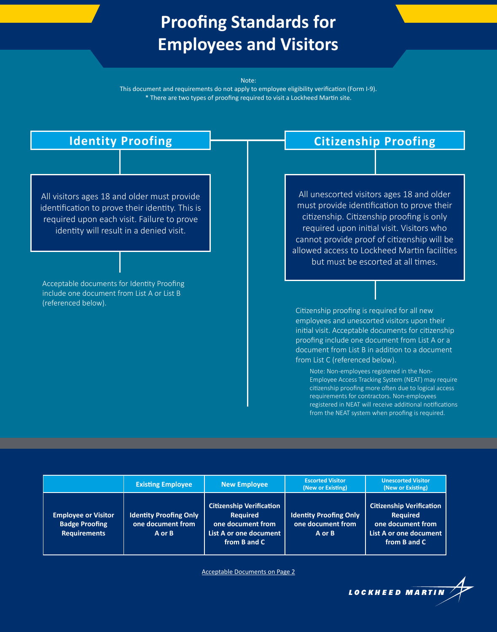# **Proofing Standards for Employees and Visitors**

#### Note:

This document and requirements do not apply to employee eligibility verification (Form I-9). \* There are two types of proofing required to visit a Lockheed Martin site.



|                                                                            | <b>Existing Employee</b>                                         | <b>New Employee</b>                                                                                               | <b>Escorted Visitor</b><br>(New or Existing)                 | <b>Unescorted Visitor</b><br>(New or Existing)                                                                    |
|----------------------------------------------------------------------------|------------------------------------------------------------------|-------------------------------------------------------------------------------------------------------------------|--------------------------------------------------------------|-------------------------------------------------------------------------------------------------------------------|
| <b>Employee or Visitor</b><br><b>Badge Proofing</b><br><b>Requirements</b> | <b>Identity Proofing Only</b><br>one document from<br>$A$ or $B$ | <b>Citizenship Verification</b><br><b>Required</b><br>one document from<br>List A or one document<br>from B and C | <b>Identity Proofing Only</b><br>one document from<br>A or B | <b>Citizenship Verification</b><br><b>Required</b><br>one document from<br>List A or one document<br>from B and C |

Acceptable Documents on Page 2

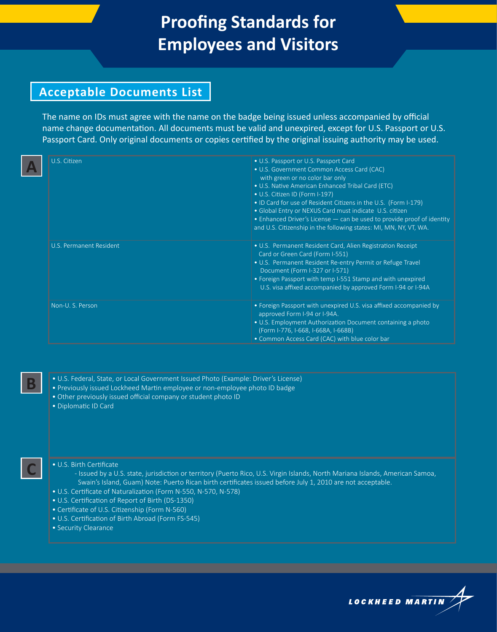## **Proofing Standards for Employees and Visitors**

## **Acceptable Documents List**

The name on IDs must agree with the name on the badge being issued unless accompanied by official name change documentation. All documents must be valid and unexpired, except for U.S. Passport or U.S. Passport Card. Only original documents or copies certified by the original issuing authority may be used.

| U.S. Citizen            | • U.S. Passport or U.S. Passport Card<br>· U.S. Government Common Access Card (CAC)<br>with green or no color bar only<br>• U.S. Native American Enhanced Tribal Card (ETC)<br>• U.S. Citizen ID (Form I-197)<br>. ID Card for use of Resident Citizens in the U.S. (Form I-179)<br>· Global Entry or NEXUS Card must indicate U.S. citizen<br>• Enhanced Driver's License - can be used to provide proof of identity<br>and U.S. Citizenship in the following states: MI, MN, NY, VT, WA. |  |
|-------------------------|--------------------------------------------------------------------------------------------------------------------------------------------------------------------------------------------------------------------------------------------------------------------------------------------------------------------------------------------------------------------------------------------------------------------------------------------------------------------------------------------|--|
| U.S. Permanent Resident | • U.S. Permanent Resident Card, Alien Registration Receipt<br>Card or Green Card (Form I-551)<br>• U.S. Permanent Resident Re-entry Permit or Refuge Travel<br>Document (Form I-327 or I-571)<br>• Foreign Passport with temp I-551 Stamp and with unexpired<br>U.S. visa affixed accompanied by approved Form I-94 or I-94A                                                                                                                                                               |  |
| Non-U.S. Person         | • Foreign Passport with unexpired U.S. visa affixed accompanied by<br>approved Form I-94 or I-94A.<br>• U.S. Employment Authorization Document containing a photo<br>(Form I-776, I-668, I-668A, I-668B)<br>• Common Access Card (CAC) with blue color bar                                                                                                                                                                                                                                 |  |

• U.S. Federal, State, or Local Government Issued Photo (Example: Driver's License)

- Previously issued Lockheed Martin employee or non-employee photo ID badge
- Other previously issued official company or student photo ID
- Diplomatic ID Card

**C**

**B**

### • U.S. Birth Certificate

- Issued by a U.S. state, jurisdiction or territory (Puerto Rico, U.S. Virgin Islands, North Mariana Islands, American Samoa, Swain's Island, Guam) Note: Puerto Rican birth certificates issued before July 1, 2010 are not acceptable.

- U.S. Certificate of Naturalization (Form N-550, N-570, N-578)
- U.S. Certification of Report of Birth (DS-1350)
- Certificate of U.S. Citizenship (Form N-560)
- U.S. Certification of Birth Abroad (Form FS-545)
- Security Clearance